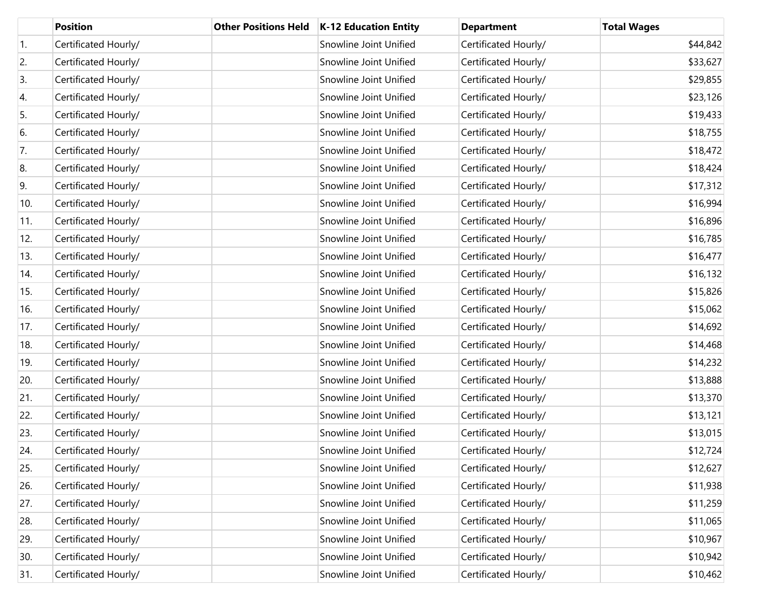|     | <b>Position</b>      | <b>Other Positions Held</b> | <b>K-12 Education Entity</b> | <b>Department</b>    | <b>Total Wages</b> |
|-----|----------------------|-----------------------------|------------------------------|----------------------|--------------------|
| 1.  | Certificated Hourly/ |                             | Snowline Joint Unified       | Certificated Hourly/ | \$44,842           |
| 2.  | Certificated Hourly/ |                             | Snowline Joint Unified       | Certificated Hourly/ | \$33,627           |
| 3.  | Certificated Hourly/ |                             | Snowline Joint Unified       | Certificated Hourly/ | \$29,855           |
| 4.  | Certificated Hourly/ |                             | Snowline Joint Unified       | Certificated Hourly/ | \$23,126           |
| 5.  | Certificated Hourly/ |                             | Snowline Joint Unified       | Certificated Hourly/ | \$19,433           |
| 6.  | Certificated Hourly/ |                             | Snowline Joint Unified       | Certificated Hourly/ | \$18,755           |
| 7.  | Certificated Hourly/ |                             | Snowline Joint Unified       | Certificated Hourly/ | \$18,472           |
| 8.  | Certificated Hourly/ |                             | Snowline Joint Unified       | Certificated Hourly/ | \$18,424           |
| 9.  | Certificated Hourly/ |                             | Snowline Joint Unified       | Certificated Hourly/ | \$17,312           |
| 10. | Certificated Hourly/ |                             | Snowline Joint Unified       | Certificated Hourly/ | \$16,994           |
| 11. | Certificated Hourly/ |                             | Snowline Joint Unified       | Certificated Hourly/ | \$16,896           |
| 12. | Certificated Hourly/ |                             | Snowline Joint Unified       | Certificated Hourly/ | \$16,785           |
| 13. | Certificated Hourly/ |                             | Snowline Joint Unified       | Certificated Hourly/ | \$16,477           |
| 14. | Certificated Hourly/ |                             | Snowline Joint Unified       | Certificated Hourly/ | \$16,132           |
| 15. | Certificated Hourly/ |                             | Snowline Joint Unified       | Certificated Hourly/ | \$15,826           |
| 16. | Certificated Hourly/ |                             | Snowline Joint Unified       | Certificated Hourly/ | \$15,062           |
| 17. | Certificated Hourly/ |                             | Snowline Joint Unified       | Certificated Hourly/ | \$14,692           |
| 18. | Certificated Hourly/ |                             | Snowline Joint Unified       | Certificated Hourly/ | \$14,468           |
| 19. | Certificated Hourly/ |                             | Snowline Joint Unified       | Certificated Hourly/ | \$14,232           |
| 20. | Certificated Hourly/ |                             | Snowline Joint Unified       | Certificated Hourly/ | \$13,888           |
| 21. | Certificated Hourly/ |                             | Snowline Joint Unified       | Certificated Hourly/ | \$13,370           |
| 22. | Certificated Hourly/ |                             | Snowline Joint Unified       | Certificated Hourly/ | \$13,121           |
| 23. | Certificated Hourly/ |                             | Snowline Joint Unified       | Certificated Hourly/ | \$13,015           |
| 24. | Certificated Hourly/ |                             | Snowline Joint Unified       | Certificated Hourly/ | \$12,724           |
| 25. | Certificated Hourly/ |                             | Snowline Joint Unified       | Certificated Hourly/ | \$12,627           |
| 26. | Certificated Hourly/ |                             | Snowline Joint Unified       | Certificated Hourly/ | \$11,938           |
| 27. | Certificated Hourly/ |                             | Snowline Joint Unified       | Certificated Hourly/ | \$11,259           |
| 28. | Certificated Hourly/ |                             | Snowline Joint Unified       | Certificated Hourly/ | \$11,065           |
| 29. | Certificated Hourly/ |                             | Snowline Joint Unified       | Certificated Hourly/ | \$10,967           |
| 30. | Certificated Hourly/ |                             | Snowline Joint Unified       | Certificated Hourly/ | \$10,942           |
| 31. | Certificated Hourly/ |                             | Snowline Joint Unified       | Certificated Hourly/ | \$10,462           |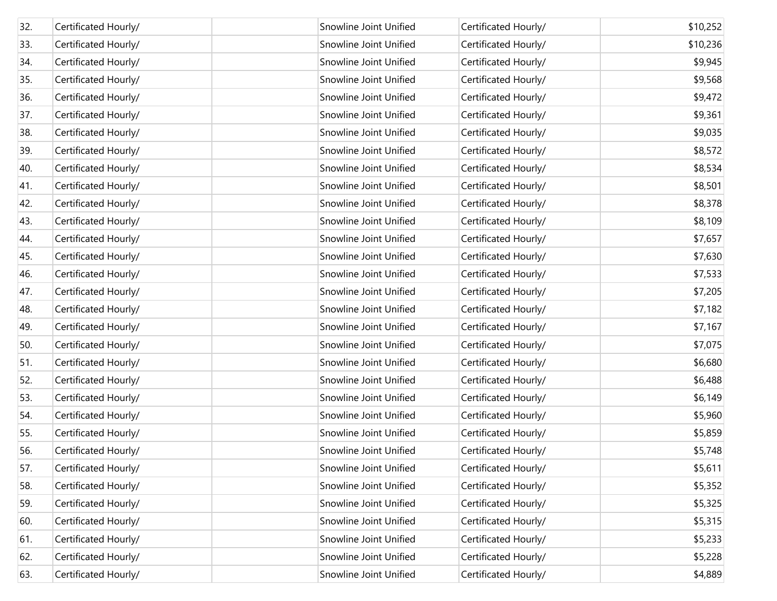| 32. | Certificated Hourly/ | Snowline Joint Unified | Certificated Hourly/ | \$10,252 |
|-----|----------------------|------------------------|----------------------|----------|
| 33. | Certificated Hourly/ | Snowline Joint Unified | Certificated Hourly/ | \$10,236 |
| 34. | Certificated Hourly/ | Snowline Joint Unified | Certificated Hourly/ | \$9,945  |
| 35. | Certificated Hourly/ | Snowline Joint Unified | Certificated Hourly/ | \$9,568  |
| 36. | Certificated Hourly/ | Snowline Joint Unified | Certificated Hourly/ | \$9,472  |
| 37. | Certificated Hourly/ | Snowline Joint Unified | Certificated Hourly/ | \$9,361  |
| 38. | Certificated Hourly/ | Snowline Joint Unified | Certificated Hourly/ | \$9,035  |
| 39. | Certificated Hourly/ | Snowline Joint Unified | Certificated Hourly/ | \$8,572  |
| 40. | Certificated Hourly/ | Snowline Joint Unified | Certificated Hourly/ | \$8,534  |
| 41. | Certificated Hourly/ | Snowline Joint Unified | Certificated Hourly/ | \$8,501  |
| 42. | Certificated Hourly/ | Snowline Joint Unified | Certificated Hourly/ | \$8,378  |
| 43. | Certificated Hourly/ | Snowline Joint Unified | Certificated Hourly/ | \$8,109  |
| 44. | Certificated Hourly/ | Snowline Joint Unified | Certificated Hourly/ | \$7,657  |
| 45. | Certificated Hourly/ | Snowline Joint Unified | Certificated Hourly/ | \$7,630  |
| 46. | Certificated Hourly/ | Snowline Joint Unified | Certificated Hourly/ | \$7,533  |
| 47. | Certificated Hourly/ | Snowline Joint Unified | Certificated Hourly/ | \$7,205  |
| 48. | Certificated Hourly/ | Snowline Joint Unified | Certificated Hourly/ | \$7,182  |
| 49. | Certificated Hourly/ | Snowline Joint Unified | Certificated Hourly/ | \$7,167  |
| 50. | Certificated Hourly/ | Snowline Joint Unified | Certificated Hourly/ | \$7,075  |
| 51. | Certificated Hourly/ | Snowline Joint Unified | Certificated Hourly/ | \$6,680  |
| 52. | Certificated Hourly/ | Snowline Joint Unified | Certificated Hourly/ | \$6,488  |
| 53. | Certificated Hourly/ | Snowline Joint Unified | Certificated Hourly/ | \$6,149  |
| 54. | Certificated Hourly/ | Snowline Joint Unified | Certificated Hourly/ | \$5,960  |
| 55. | Certificated Hourly/ | Snowline Joint Unified | Certificated Hourly/ | \$5,859  |
| 56. | Certificated Hourly/ | Snowline Joint Unified | Certificated Hourly/ | \$5,748  |
| 57. | Certificated Hourly/ | Snowline Joint Unified | Certificated Hourly/ | \$5,611  |
| 58. | Certificated Hourly/ | Snowline Joint Unified | Certificated Hourly/ | \$5,352  |
| 59. | Certificated Hourly/ | Snowline Joint Unified | Certificated Hourly/ | \$5,325  |
| 60. | Certificated Hourly/ | Snowline Joint Unified | Certificated Hourly/ | \$5,315  |
| 61. | Certificated Hourly/ | Snowline Joint Unified | Certificated Hourly/ | \$5,233  |
| 62. | Certificated Hourly/ | Snowline Joint Unified | Certificated Hourly/ | \$5,228  |
| 63. | Certificated Hourly/ | Snowline Joint Unified | Certificated Hourly/ | \$4,889  |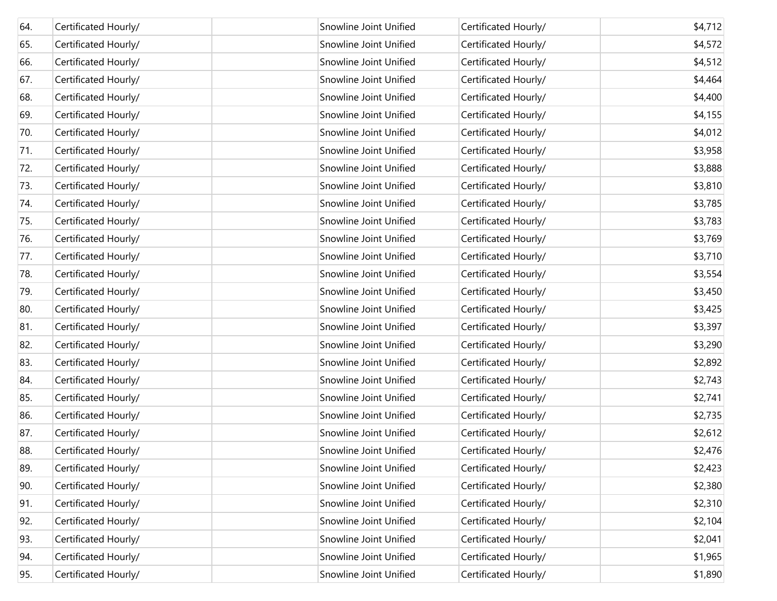| 64. | Certificated Hourly/ | Snowline Joint Unified | Certificated Hourly/ | \$4,712 |
|-----|----------------------|------------------------|----------------------|---------|
| 65. | Certificated Hourly/ | Snowline Joint Unified | Certificated Hourly/ | \$4,572 |
| 66. | Certificated Hourly/ | Snowline Joint Unified | Certificated Hourly/ | \$4,512 |
| 67. | Certificated Hourly/ | Snowline Joint Unified | Certificated Hourly/ | \$4,464 |
| 68. | Certificated Hourly/ | Snowline Joint Unified | Certificated Hourly/ | \$4,400 |
| 69. | Certificated Hourly/ | Snowline Joint Unified | Certificated Hourly/ | \$4,155 |
| 70. | Certificated Hourly/ | Snowline Joint Unified | Certificated Hourly/ | \$4,012 |
| 71. | Certificated Hourly/ | Snowline Joint Unified | Certificated Hourly/ | \$3,958 |
| 72. | Certificated Hourly/ | Snowline Joint Unified | Certificated Hourly/ | \$3,888 |
| 73. | Certificated Hourly/ | Snowline Joint Unified | Certificated Hourly/ | \$3,810 |
| 74. | Certificated Hourly/ | Snowline Joint Unified | Certificated Hourly/ | \$3,785 |
| 75. | Certificated Hourly/ | Snowline Joint Unified | Certificated Hourly/ | \$3,783 |
| 76. | Certificated Hourly/ | Snowline Joint Unified | Certificated Hourly/ | \$3,769 |
| 77. | Certificated Hourly/ | Snowline Joint Unified | Certificated Hourly/ | \$3,710 |
| 78. | Certificated Hourly/ | Snowline Joint Unified | Certificated Hourly/ | \$3,554 |
| 79. | Certificated Hourly/ | Snowline Joint Unified | Certificated Hourly/ | \$3,450 |
| 80. | Certificated Hourly/ | Snowline Joint Unified | Certificated Hourly/ | \$3,425 |
| 81. | Certificated Hourly/ | Snowline Joint Unified | Certificated Hourly/ | \$3,397 |
| 82. | Certificated Hourly/ | Snowline Joint Unified | Certificated Hourly/ | \$3,290 |
| 83. | Certificated Hourly/ | Snowline Joint Unified | Certificated Hourly/ | \$2,892 |
| 84. | Certificated Hourly/ | Snowline Joint Unified | Certificated Hourly/ | \$2,743 |
| 85. | Certificated Hourly/ | Snowline Joint Unified | Certificated Hourly/ | \$2,741 |
| 86. | Certificated Hourly/ | Snowline Joint Unified | Certificated Hourly/ | \$2,735 |
| 87. | Certificated Hourly/ | Snowline Joint Unified | Certificated Hourly/ | \$2,612 |
| 88. | Certificated Hourly/ | Snowline Joint Unified | Certificated Hourly/ | \$2,476 |
| 89. | Certificated Hourly/ | Snowline Joint Unified | Certificated Hourly/ | \$2,423 |
| 90. | Certificated Hourly/ | Snowline Joint Unified | Certificated Hourly/ | \$2,380 |
| 91. | Certificated Hourly/ | Snowline Joint Unified | Certificated Hourly/ | \$2,310 |
| 92. | Certificated Hourly/ | Snowline Joint Unified | Certificated Hourly/ | \$2,104 |
| 93. | Certificated Hourly/ | Snowline Joint Unified | Certificated Hourly/ | \$2,041 |
| 94. | Certificated Hourly/ | Snowline Joint Unified | Certificated Hourly/ | \$1,965 |
| 95. | Certificated Hourly/ | Snowline Joint Unified | Certificated Hourly/ | \$1,890 |